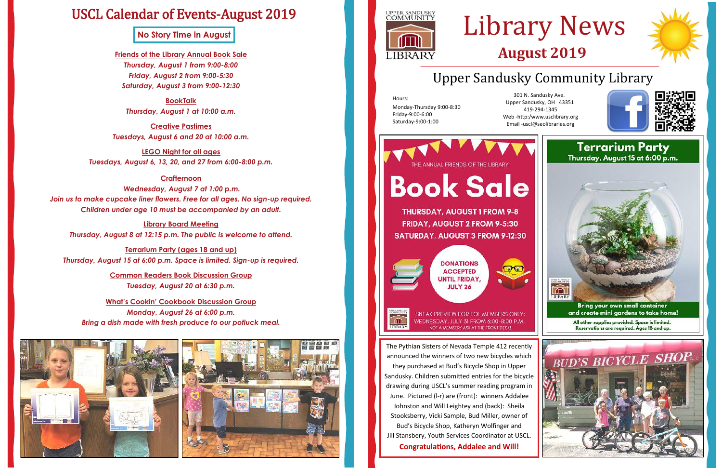## Upper Sandusky Community Library

Hours: Monday-Thursday 9:00-8:30 Friday-9:00-6:00 Saturday-9:00-1:00

# Library News **August 2019**

301 N. Sandusky Ave. Upper Sandusky, OH 43351 419-294-1345 Web -http:/www.usclibrary.org Email -uscl@seolibraries.org



**THURSDAY, AUGUST 1 FROM 9-8** FRIDAY, AUGUST 2 FROM 9-5:30



SNEAK PREVIEW FOR FOL MEMBERS ONLY: WEDNESDAY, JULY 31 FROM 6:00-8:00 P.M. NOT A MEMBER? ASK AT THE FRONT DESK!

## USCL Calendar of Events-August 2019

**Friends of the Library Annual Book Sale** *Thursday, August 1 from 9:00-8:00 Friday, August 2 from 9:00-5:30 Saturday, August 3 from 9:00-12:30*

**BookTalk**  *Thursday, August 1 at 10:00 a.m.*

**Creative Pastimes** *Tuesdays, August 6 and 20 at 10:00 a.m.*

**LEGO Night for all ages** *Tuesdays, August 6, 13, 20, and 27 from 6:00-8:00 p.m.*

### **Crafternoon**

**Terrarium Party** Thursday, August 15 at 6:00 p.m. **Book Sale SATURDAY, AUGUST 3 FROM 9-12:30 IBRAR Bring your own small container** and create mini gardens to take home! LIBRARY All other supplies provided. Space is limited. Reservations are required. Ages 18 and up. The Pythian Sisters of Nevada Temple 412 recently announced the winners of two new bicycles which

*Wednesday, August 7 at 1:00 p.m. Join us to make cupcake liner flowers. Free for all ages. No sign-up required. Children under age 10 must be accompanied by an adult.*

**Library Board Meeting** *Thursday, August 8 at 12:15 p.m. The public is welcome to attend.*

**Terrarium Party (ages 18 and up)** *Thursday, August 15 at 6:00 p.m. Space is limited. Sign-up is required.*

> **Common Readers Book Discussion Group** *Tuesday, August 20 at 6:30 p.m.*

**What's Cookin' Cookbook Discussion Group** *Monday, August 26 at 6:00 p.m. Bring a dish made with fresh produce to our potluck meal.* 







they purchased at Bud's Bicycle Shop in Upper Sandusky. Children submitted entries for the bicycle drawing during USCL's summer reading program in June. Pictured (l-r) are (front): winners Addalee Johnston and Will Leightey and (back): Sheila Stooksberry, Vicki Sample, Bud Miller, owner of Bud's Bicycle Shop, Katheryn Wolfinger and Jill Stansbery, Youth Services Coordinator at USCL. **Congratulations, Addalee and Will!** 





**No Story Time in August**